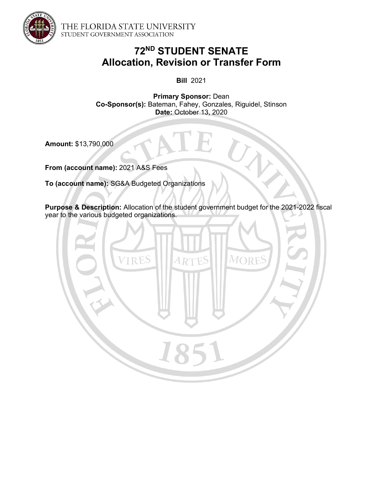

THE FLORIDA STATE UNIVERSITY STUDENT GOVERNMENT ASSOCIATION

# **72ND STUDENT SENATE Allocation, Revision or Transfer Form**

**Bill** 2021

**Primary Sponsor:** Dean **Co-Sponsor(s):** Bateman, Fahey, Gonzales, Riguidel, Stinson **Date:** October 13, 2020

**Amount:** \$13,790,000

**From (account name):** 2021 A&S Fees

**To (account name):** SG&A Budgeted Organizations

**Purpose & Description:** Allocation of the student government budget for the 2021-2022 fiscal year to the various budgeted organizations.

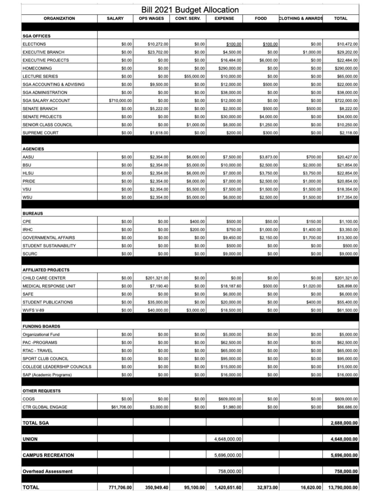| Bill 2021 Budget Allocation  |               |                  |                    |                |             |                              |               |
|------------------------------|---------------|------------------|--------------------|----------------|-------------|------------------------------|---------------|
| <b>ORGANIZATION</b>          | <b>SALARY</b> | <b>OPS WAGES</b> | <b>CONT. SERV.</b> | <b>EXPENSE</b> | <b>FOOD</b> | <b>CLOTHING &amp; AWARDS</b> | <b>TOTAL</b>  |
|                              |               |                  |                    |                |             |                              |               |
| <b>SGA OFFICES</b>           |               |                  |                    |                |             |                              |               |
| <b>ELECTIONS</b>             | \$0.00        | \$10,272.00      | \$0.00             | \$100.00       | \$100.00    | \$0.00                       | \$10,472.00   |
| <b>EXECUTIVE BRANCH</b>      | \$0.00        | \$23,702.00      | \$0.00             | \$4,500.00     | \$0.00      | \$1,000.00                   | \$29,202.00   |
| <b>EXECUTIVE PROJECTS</b>    | \$0.00        | \$0.00           | \$0.00             | \$16,484.00    | \$6,000.00  | \$0.00                       | \$22,484.00   |
| <b>HOMECOMING</b>            | \$0.00        | \$0.00           | \$0.00             | \$290,000.00   | \$0.00      | \$0.00                       | \$290,000.00  |
| <b>LECTURE SERIES</b>        | \$0.00        | \$0.00           | \$55,000.00        | \$10,000.00    | \$0.00      | \$0.00                       | \$65,000.00   |
| SGA ACCOUNTING & ADVISING    | \$0.00        | \$9,500.00       | \$0.00             | \$12,000.00    | \$500.00    | \$0.00                       | \$22,000.00   |
| <b>SGA ADMINISTRATION</b>    | \$0.00        | \$0.00           | \$0.00             | \$38,000.00    | \$0.00      | \$0.00                       | \$38,000.00   |
| SGA SALARY ACCOUNT           | \$710,000.00  | \$0.00           | \$0.00             | \$12,000.00    | \$0.00      | \$0.00                       | \$722,000.00  |
| <b>SENATE BRANCH</b>         | \$0.00        | \$5,222.00       | \$0.00             | \$2,000.00     | \$500.00    | \$500.00                     | \$8,222.00    |
| <b>SENATE PROJECTS</b>       | \$0.00        | \$0.00           | \$0.00             | \$30,000.00    | \$4,000.00  | \$0.00                       | \$34,000.00   |
| SENIOR CLASS COUNCIL         | \$0.00        | \$0.00           | \$1,000.00         | \$8,000.00     | \$1,250.00  | \$0.00                       | \$10,250.00   |
| SUPREME COURT                | \$0.00        | \$1,618.00       | \$0.00             | \$200.00       | \$300.00    | \$0.00                       | \$2,118.00    |
|                              |               |                  |                    |                |             |                              |               |
| <b>AGENCIES</b>              |               |                  |                    |                |             |                              |               |
| AASU                         | \$0.00        | \$2,354.00       | \$6,000.00         | \$7,500.00     | \$3,873.00  | \$700.00                     | \$20,427.00   |
| BSU                          | \$0.00        | \$2,354.00       | \$5,000.00         | \$10,000.00    | \$2,500.00  | \$2,000.00                   | \$21,854.00   |
| <b>HLSU</b>                  | \$0.00        | \$2,354.00       | \$6,000.00         | \$7,000.00     | \$3,750.00  | \$3,750.00                   | \$22,854.00   |
| PRIDE                        | \$0.00        | \$2,354.00       | \$8,000.00         | \$7,000.00     | \$2,500.00  | \$1,000.00                   | \$20,854.00   |
| vsu                          | \$0.00        | \$2,354.00       | \$5,500.00         | \$7,500.00     | \$1,500.00  | \$1,500.00                   | \$18,354.00   |
| wsu                          | \$0.00        | \$2,354.00       | \$5,000.00         | \$6,000.00     | \$2,500.00  | \$1,500.00                   | \$17,354.00   |
|                              |               |                  |                    |                |             |                              |               |
| <b>BUREAUS</b>               |               |                  |                    |                |             |                              |               |
| CPE                          | \$0.00        | \$0.00           | \$400.00           | \$500.00       | \$50.00     | \$150.00                     | \$1,100.00    |
| <b>IRHC</b>                  | \$0.00        | \$0.00           | \$200.00           | \$750.00       | \$1,000.00  | \$1,400.00                   | \$3,350.00    |
| <b>GOVERNMENTAL AFFAIRS</b>  | \$0.00        | \$0.00           | \$0.00             | \$9,450.00     | \$2,150.00  | \$1,700.00                   | \$13,300.00   |
| STUDENT SUSTAINABILITY       | \$0.00        | \$0.00           | \$0.00             | \$500.00       | \$0.00      | \$0.00                       | \$500.00      |
| <b>SCURC</b>                 | \$0.00        | \$0.00           | \$0.00             | \$9,000.00     | \$0.00      | \$0.00                       | \$9,000.00    |
|                              |               |                  |                    |                |             |                              |               |
| <b>AFFILIATED PROJECTS</b>   |               |                  |                    |                |             |                              |               |
| CHILD CARE CENTER            | \$0.00        | \$201,321.00     | \$0.00             | \$0.00         | \$0.00      | \$0.00                       | \$201,321.00  |
| <b>MEDICAL RESPONSE UNIT</b> | \$0.00        | \$7,190.40       | \$0.00             | \$18,187.60    | \$500.00    | \$1,020.00                   | \$26,898.00   |
| SAFE                         | \$0.00        | \$0.00           | \$0.00             | \$6,000.00     | \$0.00      | \$0.00                       | \$6,000.00    |
| STUDENT PUBLICATIONS         | \$0.00        | \$35,000.00      | \$0.00             | \$20,000.00    | \$0.00      | \$400.00                     | \$55,400.00   |
| WVFS V-89                    | \$0.00        | \$40,000.00      | \$3,000.00         | \$18,500.00    | \$0.00      | \$0.00                       | \$61,500.00   |
|                              |               |                  |                    |                |             |                              |               |
| <b>FUNDING BOARDS</b>        |               |                  |                    |                |             |                              |               |
| Organizational Fund          | \$0.00        | \$0.00           | \$0.00             | \$5,000.00     | \$0.00      | \$0.00                       | \$5,000.00    |
| PAC-PROGRAMS                 | \$0.00        | \$0.00           | \$0.00             | \$62,500.00    | \$0.00      | \$0.00                       | \$62,500.00   |
| RTAC - TRAVEL                | \$0.00        | \$0.00           | \$0.00             | \$65,000.00    | \$0.00      | \$0.00                       | \$65,000.00   |
| SPORT CLUB COUNCIL           | \$0.00        | \$0.00           | \$0.00             | \$95,000.00    | \$0.00      | \$0.00                       | \$95,000.00   |
| COLLEGE LEADERSHIP COUNCILS  | \$0.00        | \$0.00           | \$0.00             | \$15,000.00    | \$0.00      | \$0.00                       | \$15,000.00   |
| SAP (Academic Programs)      | \$0.00        | \$0.00           | \$0.00             | \$16,000.00    | \$0.00      | \$0.00                       | \$16,000.00   |
|                              |               |                  |                    |                |             |                              |               |
| <b>OTHER REQUESTS</b>        |               |                  |                    |                |             |                              |               |
| COGS                         | \$0.00        | \$0.00           | \$0.00             | \$609,000.00   | \$0.00      | \$0.00                       | \$609,000.00  |
| CTR GLOBAL ENGAGE            | \$61,706.00   | \$3,000.00       | \$0.00             | \$1,980.00     | \$0.00      | \$0.00                       | \$66,686.00   |
|                              |               |                  |                    |                |             |                              |               |
| <b>TOTAL SGA</b>             |               |                  |                    |                |             |                              | 2,688,000.00  |
|                              |               |                  |                    |                |             |                              |               |
| <b>UNION</b>                 |               |                  |                    | 4,648,000.00   |             |                              | 4,648,000.00  |
|                              |               |                  |                    |                |             |                              |               |
| <b>CAMPUS RECREATION</b>     |               |                  |                    | 5,696,000.00   |             |                              | 5,696,000.00  |
|                              |               |                  |                    |                |             |                              |               |
| <b>Overhead Assessment</b>   |               |                  |                    | 758,000.00     |             |                              | 758,000.00    |
|                              |               |                  |                    |                |             |                              |               |
| <b>TOTAL</b>                 | 771,706.00    | 350,949.40       | 95,100.00          | 1,420,651.60   | 32,973.00   | 16,620.00                    | 13,790,000.00 |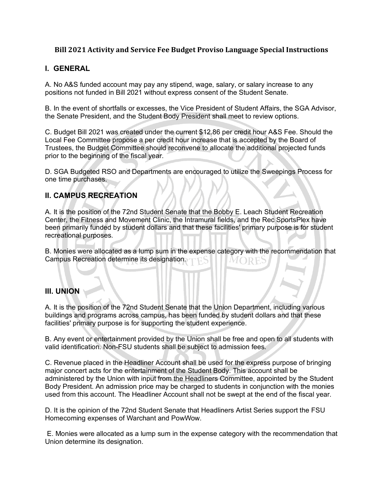## **Bill 2021 Activity and Service Fee Budget Proviso Language Special Instructions**

## **I. GENERAL**

A. No A&S funded account may pay any stipend, wage, salary, or salary increase to any positions not funded in Bill 2021 without express consent of the Student Senate.

B. In the event of shortfalls or excesses, the Vice President of Student Affairs, the SGA Advisor, the Senate President, and the Student Body President shall meet to review options.

C. Budget Bill 2021 was created under the current \$12.86 per credit hour A&S Fee. Should the Local Fee Committee propose a per credit hour increase that is accepted by the Board of Trustees, the Budget Committee should reconvene to allocate the additional projected funds prior to the beginning of the fiscal year.

D. SGA Budgeted RSO and Departments are encouraged to utilize the Sweepings Process for one time purchases.

## **II. CAMPUS RECREATION**

A. It is the position of the 72nd Student Senate that the Bobby E. Leach Student Recreation Center, the Fitness and Movement Clinic, the Intramural fields, and the Rec SportsPlex have been primarily funded by student dollars and that these facilities' primary purpose is for student recreational purposes.

B. Monies were allocated as a lump sum in the expense category with the recommendation that Campus Recreation determine its designation.  $MOP$ 

#### **III. UNION**

A. It is the position of the 72nd Student Senate that the Union Department, including various buildings and programs across campus, has been funded by student dollars and that these facilities' primary purpose is for supporting the student experience.

B. Any event or entertainment provided by the Union shall be free and open to all students with valid identification. Non-FSU students shall be subject to admission fees.

C. Revenue placed in the Headliner Account shall be used for the express purpose of bringing major concert acts for the entertainment of the Student Body. This account shall be administered by the Union with input from the Headliners Committee, appointed by the Student Body President. An admission price may be charged to students in conjunction with the monies used from this account. The Headliner Account shall not be swept at the end of the fiscal year.

D. It is the opinion of the 72nd Student Senate that Headliners Artist Series support the FSU Homecoming expenses of Warchant and PowWow.

E. Monies were allocated as a lump sum in the expense category with the recommendation that Union determine its designation.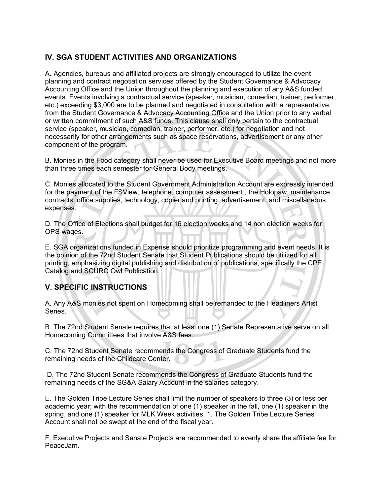## **IV. SGA STUDENT ACTIVITIES AND ORGANIZATIONS**

A. Agencies, bureaus and affiliated projects are strongly encouraged to utilize the event planning and contract negotiation services offered by the Student Governance & Advocacy Accounting Office and the Union throughout the planning and execution of any A&S funded events. Events involving a contractual service (speaker, musician, comedian, trainer, performer, etc.) exceeding \$3,000 are to be planned and negotiated in consultation with a representative from the Student Governance & Advocacy Accounting Office and the Union prior to any verbal or written commitment of such A&S funds. This clause shall only pertain to the contractual service (speaker, musician, comedian, trainer, performer, etc.) for negotiation and not necessarily for other arrangements such as space reservations, advertisement or any other component of the program.

B. Monies in the Food category shall never be used for Executive Board meetings and not more than three times each semester for General Body meetings.

C. Monies allocated to the Student Government Administration Account are expressly intended for the payment of the FSView, telephone, computer assessment,, the Holopaw, maintenance contracts, office supplies, technology, copier and printing, advertisement, and miscellaneous expenses.

D. The Office of Elections shall budget for 16 election weeks and 14 non election weeks for OPS wages.

E. SGA organizations funded in Expense should prioritize programming and event needs. It is the opinion of the 72nd Student Senate that Student Publications should be utilized for all printing, emphasizing digital publishing and distribution of publications, specifically the CPE Catalog and SCURC Owl Publication.

# **V. SPECIFIC INSTRUCTIONS**

A. Any A&S monies not spent on Homecoming shall be remanded to the Headliners Artist Series.

B. The 72nd Student Senate requires that at least one (1) Senate Representative serve on all Homecoming Committees that involve A&S fees.

C. The 72nd Student Senate recommends the Congress of Graduate Students fund the remaining needs of the Childcare Center.

D. The 72nd Student Senate recommends the Congress of Graduate Students fund the remaining needs of the SG&A Salary Account in the salaries category.

E. The Golden Tribe Lecture Series shall limit the number of speakers to three (3) or less per academic year; with the recommendation of one (1) speaker in the fall, one (1) speaker in the spring, and one (1) speaker for MLK Week activities. 1. The Golden Tribe Lecture Series Account shall not be swept at the end of the fiscal year.

F. Executive Projects and Senate Projects are recommended to evenly share the affiliate fee for PeaceJam.